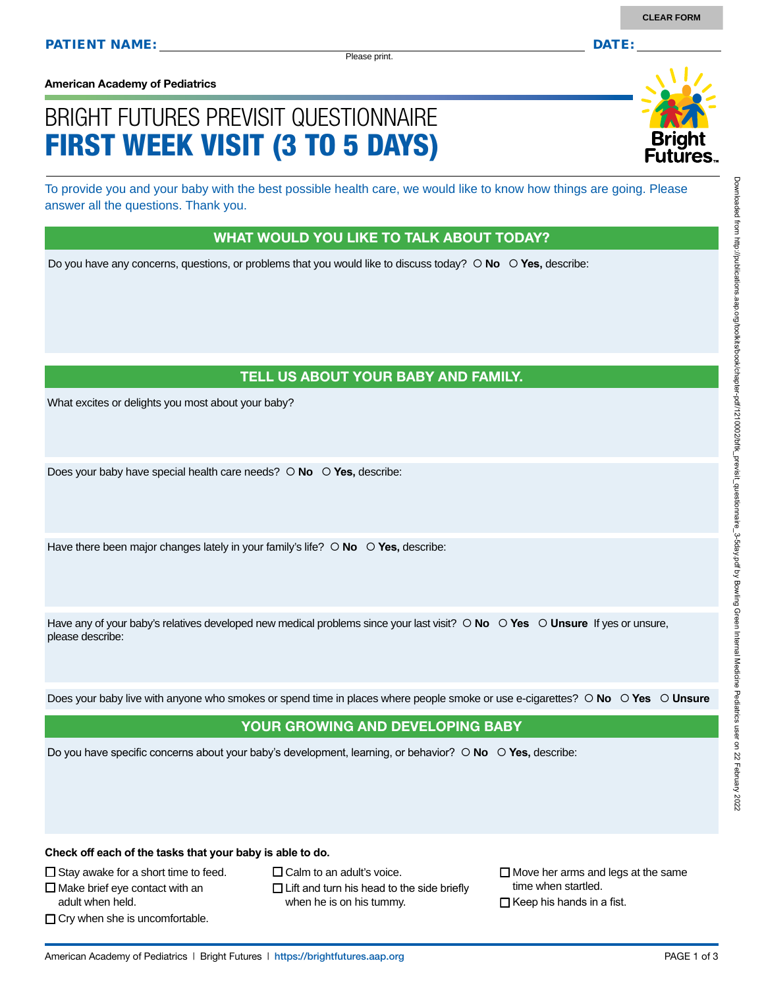Please print.

**American Academy of Pediatrics**

# BRIGHT FUTURES PREVISIT QUESTIONNAIRE FIRST WEEK VISIT (3 TO 5 DAYS)

To provide you and your baby with the best possible health care, we would like to know how things are going. Please answer all the questions. Thank you.

#### WHAT WOULD YOU LIKE TO TALK ABOUT TODAY?

Do you have any concerns, questions, or problems that you would like to discuss today?  $\circ$  **No**  $\circ$  **Yes**, describe:

## TELL US ABOUT YOUR BABY AND FAMILY.

What excites or delights you most about your baby?

Does your baby have special health care needs?  $\circ$  **No**  $\circ$  **Yes**, describe:

Have there been major changes lately in your family's life?  $\circ$  No  $\circ$  Yes, describe:

Have any of your baby's relatives developed new medical problems since your last visit?  $\circ$  **No**  $\circ$  **Yes**  $\circ$  **Unsure** If yes or unsure, please describe:

Does your baby live with anyone who smokes or spend time in places where people smoke or use e-cigarettes?  **No Yes Unsure**

#### YOUR GROWING AND DEVELOPING BABY

Do you have specific concerns about your baby's development, learning, or behavior?  **No Yes,** describe:

**Check off each of the tasks that your baby is able to do.**

 $\Box$  Stay awake for a short time to feed.

 $\square$  Make brief eye contact with an

adult when held.

- $\Box$  Cry when she is uncomfortable.
- $\Box$  Calm to an adult's voice.
- $\Box$  Lift and turn his head to the side briefly when he is on his tummy.

 $\Box$  Move her arms and legs at the same time when startled.

 $\Box$  Keep his hands in a fist.

2022

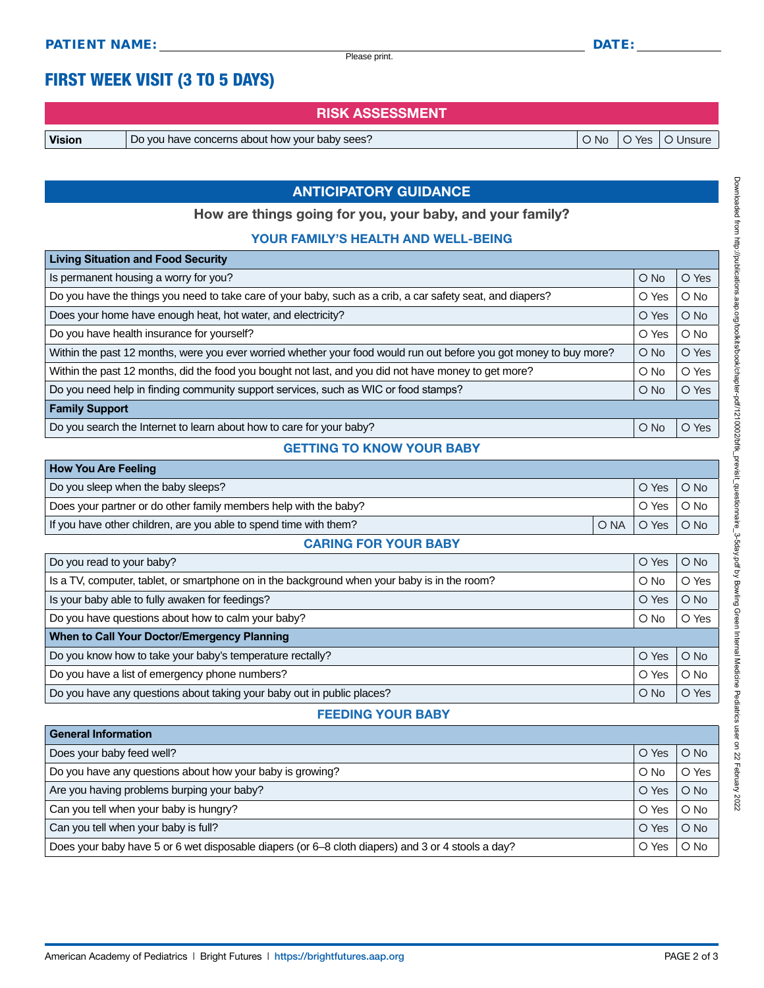Please print.

# FIRST WEEK VISIT (3 TO 5 DAYS)

RISK ASSESSMENT

Vision Do you have concerns about how your baby sees? No Yes Unsure

## ANTICIPATORY GUIDANCE

How are things going for you, your baby, and your family?

#### YOUR FAMILY'S HEALTH AND WELL-BEING

| <b>Living Situation and Food Security</b>                                                                          |               |          |
|--------------------------------------------------------------------------------------------------------------------|---------------|----------|
| Is permanent housing a worry for you?                                                                              | $O$ No        | O Yes    |
| Do you have the things you need to take care of your baby, such as a crib, a car safety seat, and diapers?         | O Yes         | $O$ No   |
| Does your home have enough heat, hot water, and electricity?                                                       | O Yes         | $O$ No   |
| Do you have health insurance for yourself?                                                                         | O Yes         | $O$ No   |
| Within the past 12 months, were you ever worried whether your food would run out before you got money to buy more? | $O$ No        | O Yes    |
| Within the past 12 months, did the food you bought not last, and you did not have money to get more?               | $\bigcirc$ No | O Yes    |
| Do you need help in finding community support services, such as WIC or food stamps?                                | $\bigcirc$ No | O Yes    |
| <b>Family Support</b>                                                                                              |               |          |
| Do you search the Internet to learn about how to care for your baby?                                               | $O$ No        | Yes<br>Ω |

#### GETTING TO KNOW YOUR BABY

| <b>How You Are Feeling</b>                                        |  |              |  |
|-------------------------------------------------------------------|--|--------------|--|
| Do you sleep when the baby sleeps?                                |  | O Yes O No   |  |
| Does your partner or do other family members help with the baby?  |  | O Yes   O No |  |
| If you have other children, are you able to spend time with them? |  | ONAIOYesIONo |  |

#### CARING FOR YOUR BABY

| Do you read to your baby?                                                                    | O Yes         | $O$ No |
|----------------------------------------------------------------------------------------------|---------------|--------|
| Is a TV, computer, tablet, or smartphone on in the background when your baby is in the room? | $\bigcirc$ No | O Yes  |
| Is your baby able to fully awaken for feedings?                                              | O Yes         | $O$ No |
| Do you have questions about how to calm your baby?                                           | $\circ$ No    | O Yes  |
| When to Call Your Doctor/Emergency Planning                                                  |               |        |
| Do you know how to take your baby's temperature rectally?                                    | O Yes         | $O$ No |
| Do you have a list of emergency phone numbers?                                               | O Yes         | $O$ No |
| Do you have any questions about taking your baby out in public places?                       | $\bigcirc$ No | O Yes  |
|                                                                                              |               |        |

### FEEDING YOUR BABY

| <b>General Information</b>                                                                        |        |        |
|---------------------------------------------------------------------------------------------------|--------|--------|
| Does your baby feed well?                                                                         | O Yes  | $O$ No |
| Do you have any questions about how your baby is growing?                                         | $O$ No | O Yes  |
| Are you having problems burping your baby?                                                        | O Yes  | $O$ No |
| Can you tell when your baby is hungry?                                                            | O Yes  | $O$ No |
| Can you tell when your baby is full?                                                              | O Yes  | $O$ No |
| Does your baby have 5 or 6 wet disposable diapers (or 6–8 cloth diapers) and 3 or 4 stools a day? | O Yes  | $O$ No |